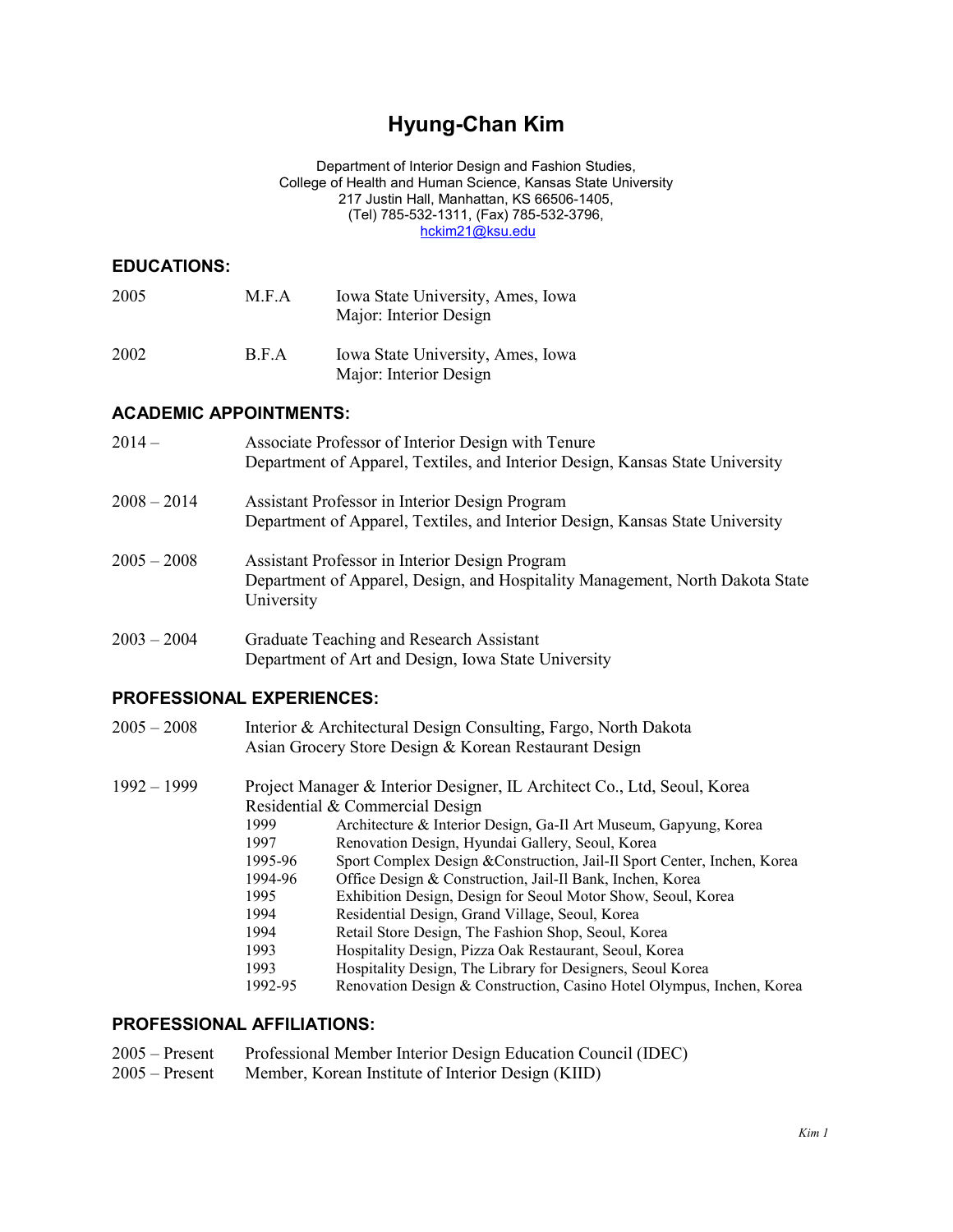# **Hyung-Chan Kim**

Department of Interior Design and Fashion Studies, College of Health and Human Science, Kansas State University 217 Justin Hall, Manhattan, KS 66506-1405, (Tel) 785-532-1311, (Fax) 785-532-3796, [hckim21@ksu.edu](mailto:hckim21@ksu.edu)

## **EDUCATIONS:**

| 2005 | M.F.A | Iowa State University, Ames, Iowa<br>Major: Interior Design |
|------|-------|-------------------------------------------------------------|
| 2002 | B.F.A | Iowa State University, Ames, Iowa<br>Major: Interior Design |

## **ACADEMIC APPOINTMENTS:**

| $2014-$       | Associate Professor of Interior Design with Tenure<br>Department of Apparel, Textiles, and Interior Design, Kansas State University           |
|---------------|-----------------------------------------------------------------------------------------------------------------------------------------------|
| $2008 - 2014$ | Assistant Professor in Interior Design Program<br>Department of Apparel, Textiles, and Interior Design, Kansas State University               |
| $2005 - 2008$ | Assistant Professor in Interior Design Program<br>Department of Apparel, Design, and Hospitality Management, North Dakota State<br>University |
| $2003 - 2004$ | Graduate Teaching and Research Assistant                                                                                                      |

### Department of Art and Design, Iowa State University

### **PROFESSIONAL EXPERIENCES:**

| $2005 - 2008$ | Interior & Architectural Design Consulting, Fargo, North Dakota |
|---------------|-----------------------------------------------------------------|
|               | Asian Grocery Store Design & Korean Restaurant Design           |

| $1992 - 1999$ | 1999<br>1997<br>1995-96<br>1994-96<br>1995<br>1994 | Project Manager & Interior Designer, IL Architect Co., Ltd, Seoul, Korea<br>Residential & Commercial Design<br>Architecture & Interior Design, Ga-Il Art Museum, Gapyung, Korea<br>Renovation Design, Hyundai Gallery, Seoul, Korea<br>Sport Complex Design & Construction, Jail-Il Sport Center, Inchen, Korea<br>Office Design & Construction, Jail-Il Bank, Inchen, Korea<br>Exhibition Design, Design for Seoul Motor Show, Seoul, Korea<br>Residential Design, Grand Village, Seoul, Korea |
|---------------|----------------------------------------------------|-------------------------------------------------------------------------------------------------------------------------------------------------------------------------------------------------------------------------------------------------------------------------------------------------------------------------------------------------------------------------------------------------------------------------------------------------------------------------------------------------|
|               | 1994                                               | Retail Store Design, The Fashion Shop, Seoul, Korea                                                                                                                                                                                                                                                                                                                                                                                                                                             |
|               | 1993                                               | Hospitality Design, Pizza Oak Restaurant, Seoul, Korea                                                                                                                                                                                                                                                                                                                                                                                                                                          |
|               | 1993                                               | Hospitality Design, The Library for Designers, Seoul Korea                                                                                                                                                                                                                                                                                                                                                                                                                                      |
|               | 1992-95                                            | Renovation Design & Construction, Casino Hotel Olympus, Inchen, Korea                                                                                                                                                                                                                                                                                                                                                                                                                           |

#### **PROFESSIONAL AFFILIATIONS:**

| $2005 -$ Present | Professional Member Interior Design Education Council (IDEC) |
|------------------|--------------------------------------------------------------|
|                  | $2005$ Decent Member Veneral Letter CL to Decentral UIID     |

2005 – Present Member, Korean Institute of Interior Design (KIID)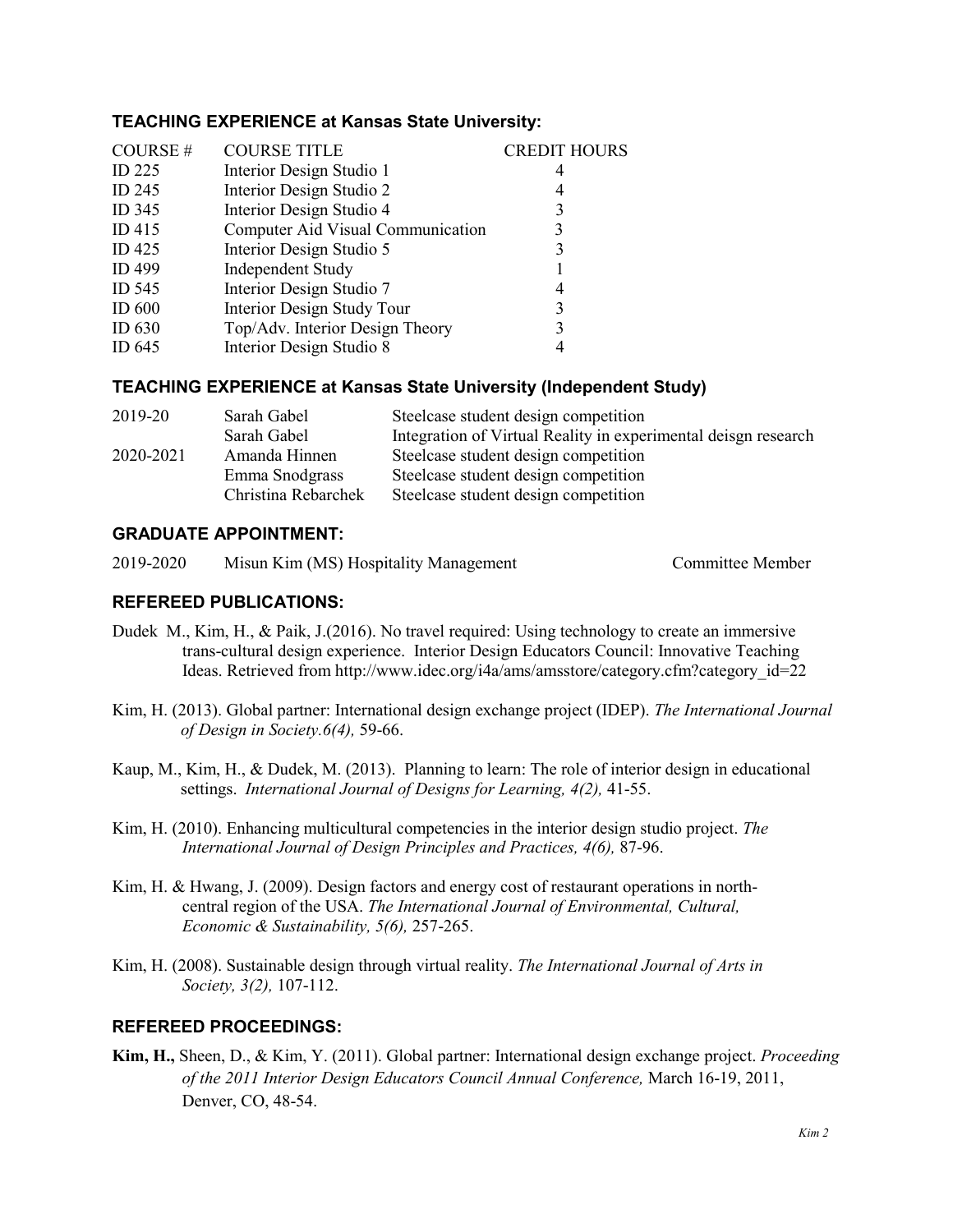### **TEACHING EXPERIENCE at Kansas State University:**

| COURSE#           | <b>COURSE TITLE</b>               | <b>CREDIT HOURS</b> |
|-------------------|-----------------------------------|---------------------|
| $ID$ 225          | Interior Design Studio 1          | 4                   |
| ID 245            | Interior Design Studio 2          | 4                   |
| ID 345            | Interior Design Studio 4          | 3                   |
| ID415             | Computer Aid Visual Communication |                     |
| $ID$ 425          | Interior Design Studio 5          | 3                   |
| ID 499            | <b>Independent Study</b>          |                     |
| ID 545            | Interior Design Studio 7          | 4                   |
| ID <sub>600</sub> | Interior Design Study Tour        | 3                   |
| ID $630$          | Top/Adv. Interior Design Theory   | 3                   |
| ID $645$          | Interior Design Studio 8          |                     |

#### **TEACHING EXPERIENCE at Kansas State University (Independent Study)**

| 2019-20   | Sarah Gabel         | Steelcase student design competition                           |
|-----------|---------------------|----------------------------------------------------------------|
|           | Sarah Gabel         | Integration of Virtual Reality in experimental deisgn research |
| 2020-2021 | Amanda Hinnen       | Steelcase student design competition                           |
|           | Emma Snodgrass      | Steelcase student design competition                           |
|           | Christina Rebarchek | Steelcase student design competition                           |

#### **GRADUATE APPOINTMENT:**

2019-2020 Misun Kim (MS) Hospitality Management Committee Member

# **REFEREED PUBLICATIONS:**

- Dudek M., Kim, H., & Paik, J.(2016). No travel required: Using technology to create an immersive trans-cultural design experience. Interior Design Educators Council: Innovative Teaching Ideas. Retrieved from http://www.idec.org/i4a/ams/amsstore/category.cfm?category\_id=22
- Kim, H. (2013). Global partner: International design exchange project (IDEP). *The International Journal of Design in Society.6(4),* 59-66.
- Kaup, M., Kim, H., & Dudek, M. (2013). Planning to learn: The role of interior design in educational settings. *International Journal of Designs for Learning, 4(2),* 41-55.
- Kim, H. (2010). Enhancing multicultural competencies in the interior design studio project. *The International Journal of Design Principles and Practices, 4(6),* 87-96.
- Kim, H. & Hwang, J. (2009). Design factors and energy cost of restaurant operations in northcentral region of the USA. *The International Journal of Environmental, Cultural, Economic & Sustainability, 5(6),* 257-265.
- Kim, H. (2008). Sustainable design through virtual reality. *The International Journal of Arts in Society, 3(2),* 107-112.

### **REFEREED PROCEEDINGS:**

**Kim, H.,** Sheen, D., & Kim, Y. (2011). Global partner: International design exchange project. *Proceeding of the 2011 Interior Design Educators Council Annual Conference,* March 16-19, 2011, Denver, CO, 48-54.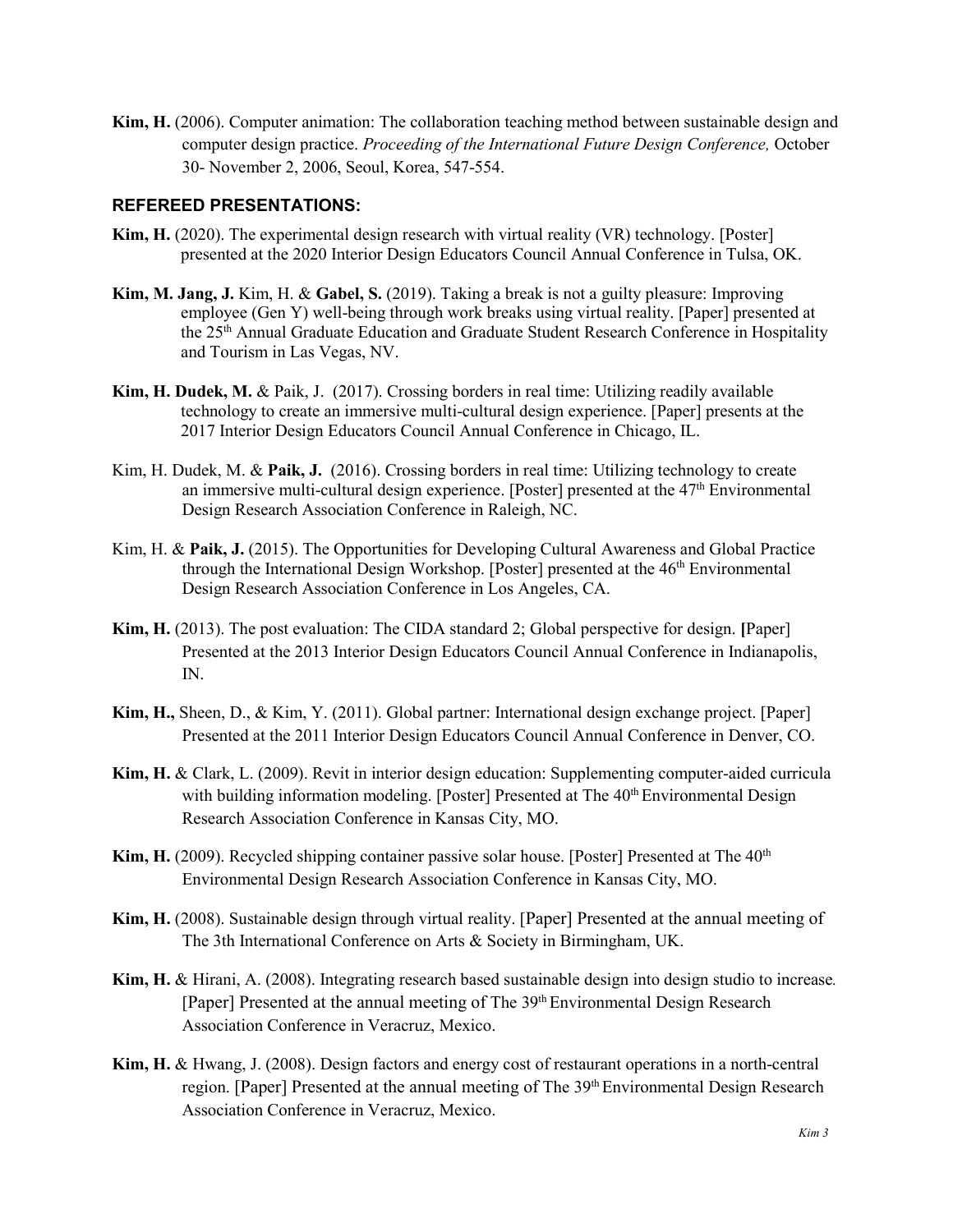**Kim, H.** (2006). Computer animation: The collaboration teaching method between sustainable design and computer design practice. *Proceeding of the International Future Design Conference,* October 30- November 2, 2006, Seoul, Korea, 547-554.

#### **REFEREED PRESENTATIONS:**

- **Kim, H.** (2020). The experimental design research with virtual reality (VR) technology. [Poster] presented at the 2020 Interior Design Educators Council Annual Conference in Tulsa, OK.
- **Kim, M. Jang, J.** Kim, H. & **Gabel, S.** (2019). Taking a break is not a guilty pleasure: Improving employee (Gen Y) well-being through work breaks using virtual reality. [Paper] presented at the 25th Annual Graduate Education and Graduate Student Research Conference in Hospitality and Tourism in Las Vegas, NV.
- **Kim, H. Dudek, M.** & Paik, J. (2017). Crossing borders in real time: Utilizing readily available technology to create an immersive multi-cultural design experience. [Paper] presents at the 2017 Interior Design Educators Council Annual Conference in Chicago, IL.
- Kim, H. Dudek, M. & **Paik, J.** (2016). Crossing borders in real time: Utilizing technology to create an immersive multi-cultural design experience. [Poster] presented at the  $47<sup>th</sup>$  Environmental Design Research Association Conference in Raleigh, NC.
- Kim, H. & **Paik, J.** (2015). The Opportunities for Developing Cultural Awareness and Global Practice through the International Design Workshop. [Poster] presented at the  $46<sup>th</sup>$  Environmental Design Research Association Conference in Los Angeles, CA.
- **Kim, H.** (2013). The post evaluation: The CIDA standard 2; Global perspective for design. **[**Paper] Presented at the 2013 Interior Design Educators Council Annual Conference in Indianapolis, IN.
- **Kim, H.,** Sheen, D., & Kim, Y. (2011). Global partner: International design exchange project. [Paper] Presented at the 2011 Interior Design Educators Council Annual Conference in Denver, CO.
- **Kim, H.** & Clark, L. (2009). Revit in interior design education: Supplementing computer-aided curricula with building information modeling. [Poster] Presented at The 40<sup>th</sup> Environmental Design Research Association Conference in Kansas City, MO.
- **Kim, H.** (2009). Recycled shipping container passive solar house. [Poster] Presented at The 40<sup>th</sup> Environmental Design Research Association Conference in Kansas City, MO.
- **Kim, H.** (2008). Sustainable design through virtual reality. [Paper] Presented at the annual meeting of The 3th International Conference on Arts & Society in Birmingham, UK.
- **Kim, H.** & Hirani, A. (2008). Integrating research based sustainable design into design studio to increase*.*  [Paper] Presented at the annual meeting of The 39<sup>th</sup> Environmental Design Research Association Conference in Veracruz, Mexico.
- **Kim, H.** & Hwang, J. (2008). Design factors and energy cost of restaurant operations in a north-central region. [Paper] Presented at the annual meeting of The 39<sup>th</sup> Environmental Design Research Association Conference in Veracruz, Mexico.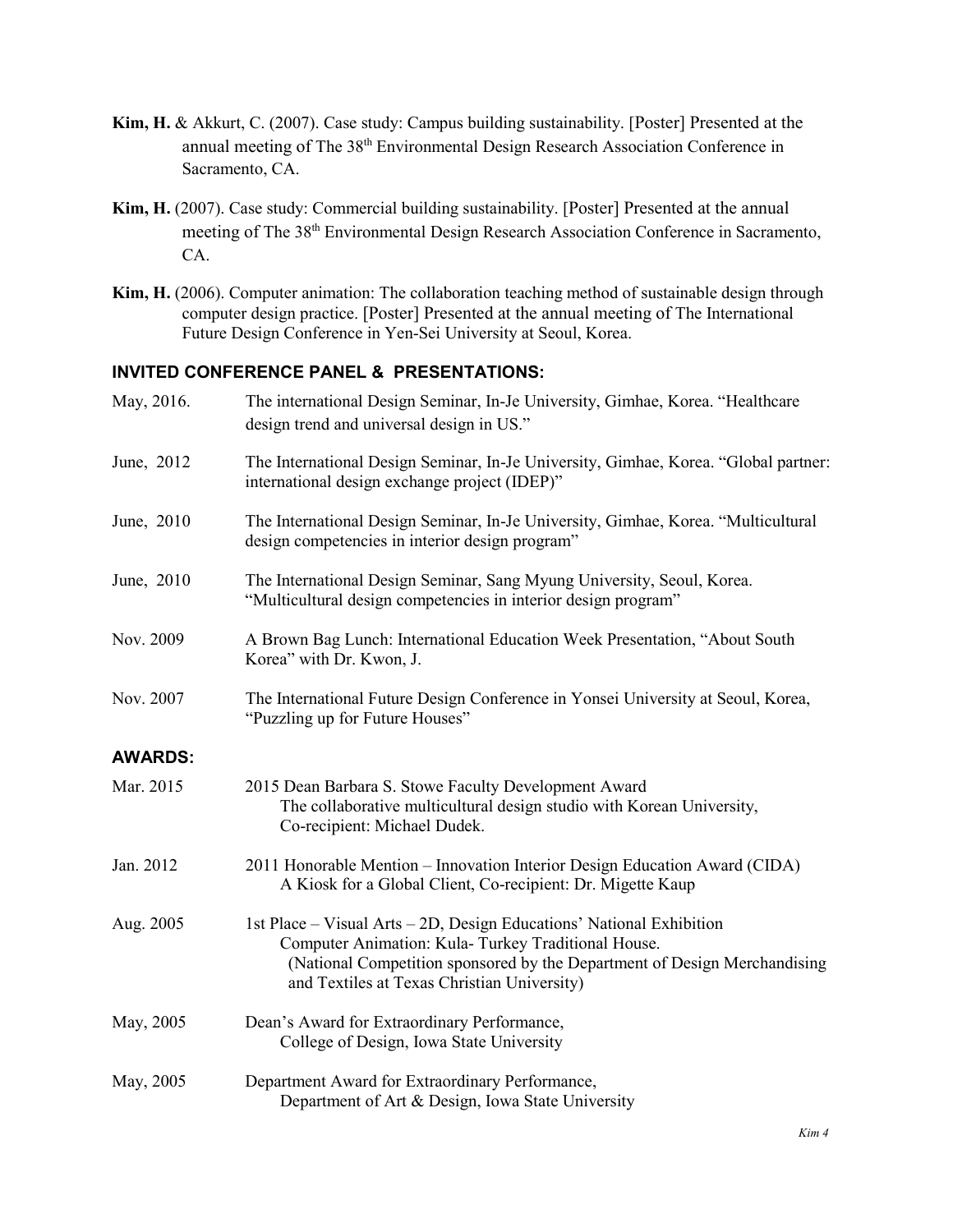- **Kim, H.** & Akkurt, C. (2007). Case study: Campus building sustainability. [Poster] Presented at the annual meeting of The 38th Environmental Design Research Association Conference in Sacramento, CA.
- **Kim, H.** (2007). Case study: Commercial building sustainability. [Poster] Presented at the annual meeting of The 38<sup>th</sup> Environmental Design Research Association Conference in Sacramento, CA.
- **Kim, H.** (2006). Computer animation: The collaboration teaching method of sustainable design through computer design practice. [Poster] Presented at the annual meeting of The International Future Design Conference in Yen-Sei University at Seoul, Korea.

#### **INVITED CONFERENCE PANEL & PRESENTATIONS:**

| May, 2016.     | The international Design Seminar, In-Je University, Gimhae, Korea. "Healthcare<br>design trend and universal design in US."                                                                                                                            |
|----------------|--------------------------------------------------------------------------------------------------------------------------------------------------------------------------------------------------------------------------------------------------------|
| June, 2012     | The International Design Seminar, In-Je University, Gimhae, Korea. "Global partner:<br>international design exchange project (IDEP)"                                                                                                                   |
| June, 2010     | The International Design Seminar, In-Je University, Gimhae, Korea. "Multicultural<br>design competencies in interior design program"                                                                                                                   |
| June, 2010     | The International Design Seminar, Sang Myung University, Seoul, Korea.<br>"Multicultural design competencies in interior design program"                                                                                                               |
| Nov. 2009      | A Brown Bag Lunch: International Education Week Presentation, "About South<br>Korea" with Dr. Kwon, J.                                                                                                                                                 |
| Nov. 2007      | The International Future Design Conference in Yonsei University at Seoul, Korea,<br>"Puzzling up for Future Houses"                                                                                                                                    |
| <b>AWARDS:</b> |                                                                                                                                                                                                                                                        |
| Mar. 2015      | 2015 Dean Barbara S. Stowe Faculty Development Award<br>The collaborative multicultural design studio with Korean University,<br>Co-recipient: Michael Dudek.                                                                                          |
| Jan. 2012      | 2011 Honorable Mention - Innovation Interior Design Education Award (CIDA)<br>A Kiosk for a Global Client, Co-recipient: Dr. Migette Kaup                                                                                                              |
| Aug. 2005      | 1st Place – Visual Arts – 2D, Design Educations' National Exhibition<br>Computer Animation: Kula-Turkey Traditional House.<br>(National Competition sponsored by the Department of Design Merchandising<br>and Textiles at Texas Christian University) |
| May, 2005      | Dean's Award for Extraordinary Performance,<br>College of Design, Iowa State University                                                                                                                                                                |
| May, 2005      | Department Award for Extraordinary Performance,<br>Department of Art & Design, Iowa State University                                                                                                                                                   |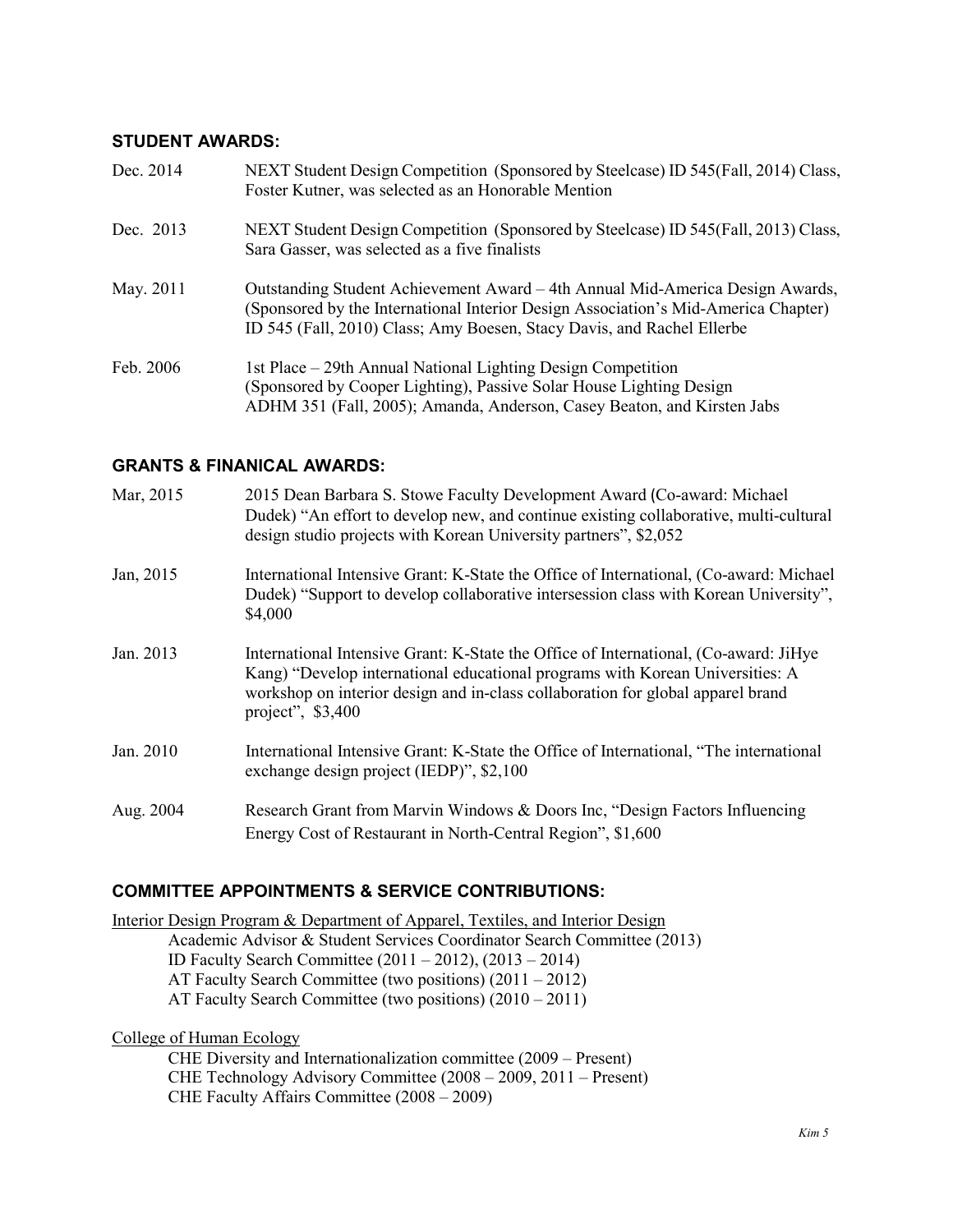#### **STUDENT AWARDS:**

| Dec. 2014 | NEXT Student Design Competition (Sponsored by Steelcase) ID 545(Fall, 2014) Class,<br>Foster Kutner, was selected as an Honorable Mention                                                                                                     |
|-----------|-----------------------------------------------------------------------------------------------------------------------------------------------------------------------------------------------------------------------------------------------|
| Dec. 2013 | NEXT Student Design Competition (Sponsored by Steelcase) ID 545(Fall, 2013) Class,<br>Sara Gasser, was selected as a five finalists                                                                                                           |
| May. 2011 | Outstanding Student Achievement Award – 4th Annual Mid-America Design Awards,<br>(Sponsored by the International Interior Design Association's Mid-America Chapter)<br>ID 545 (Fall, 2010) Class; Amy Boesen, Stacy Davis, and Rachel Ellerbe |
| Feb. 2006 | 1st Place – 29th Annual National Lighting Design Competition<br>(Sponsored by Cooper Lighting), Passive Solar House Lighting Design<br>ADHM 351 (Fall, 2005); Amanda, Anderson, Casey Beaton, and Kirsten Jabs                                |

### **GRANTS & FINANICAL AWARDS:**

| Mar, 2015 | 2015 Dean Barbara S. Stowe Faculty Development Award (Co-award: Michael<br>Dudek) "An effort to develop new, and continue existing collaborative, multi-cultural<br>design studio projects with Korean University partners", \$2,052                                           |
|-----------|--------------------------------------------------------------------------------------------------------------------------------------------------------------------------------------------------------------------------------------------------------------------------------|
| Jan, 2015 | International Intensive Grant: K-State the Office of International, (Co-award: Michael<br>Dudek) "Support to develop collaborative intersession class with Korean University",<br>\$4,000                                                                                      |
| Jan. 2013 | International Intensive Grant: K-State the Office of International, (Co-award: JiHye<br>Kang) "Develop international educational programs with Korean Universities: A<br>workshop on interior design and in-class collaboration for global apparel brand<br>project", $$3,400$ |
| Jan. 2010 | International Intensive Grant: K-State the Office of International, "The international<br>exchange design project (IEDP)", \$2,100                                                                                                                                             |
| Aug. 2004 | Research Grant from Marvin Windows & Doors Inc, "Design Factors Influencing<br>Energy Cost of Restaurant in North-Central Region", \$1,600                                                                                                                                     |

# **COMMITTEE APPOINTMENTS & SERVICE CONTRIBUTIONS:**

Interior Design Program & Department of Apparel, Textiles, and Interior Design Academic Advisor & Student Services Coordinator Search Committee (2013) ID Faculty Search Committee (2011 – 2012), (2013 – 2014) AT Faculty Search Committee (two positions) (2011 – 2012) AT Faculty Search Committee (two positions) (2010 – 2011)

College of Human Ecology

CHE Diversity and Internationalization committee (2009 – Present) CHE Technology Advisory Committee (2008 – 2009, 2011 – Present) CHE Faculty Affairs Committee (2008 – 2009)